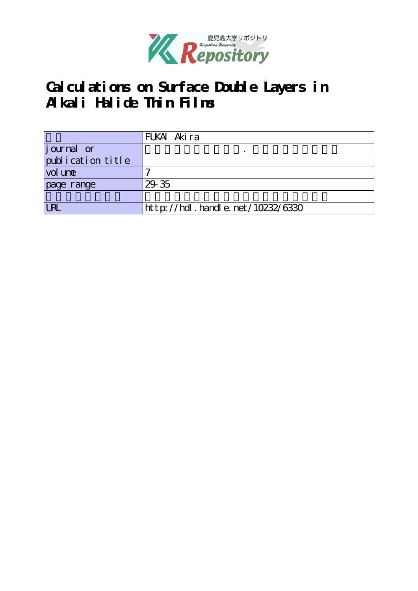

## **Calculations on Surface Double Layers in Alkali Halide Thin Films**

|                   | FUKAI Akira                      |
|-------------------|----------------------------------|
| journal or        |                                  |
| publication title |                                  |
| vol une           |                                  |
| page range        | 29 35                            |
|                   |                                  |
| <b>LRL</b>        | http://hdl.handle.net/10232/6330 |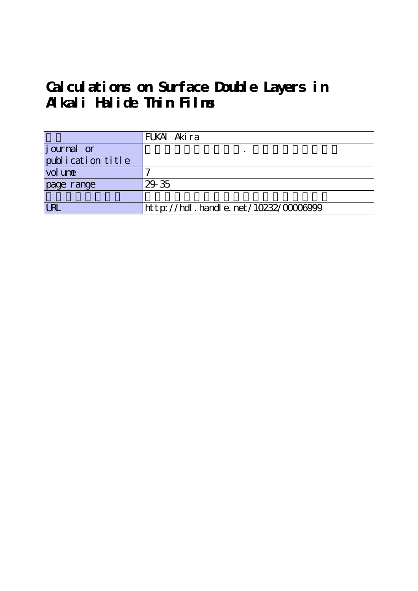# **Calculations on Surface Double Layers in Alkali Halide Thin Films**

|                   | FUKAI Akira                              |
|-------------------|------------------------------------------|
| journal or        |                                          |
| publication title |                                          |
| vol une           |                                          |
| page range        | 29 35                                    |
|                   |                                          |
| <b>URL</b>        | http://hdl . handl e. net/10232/00006999 |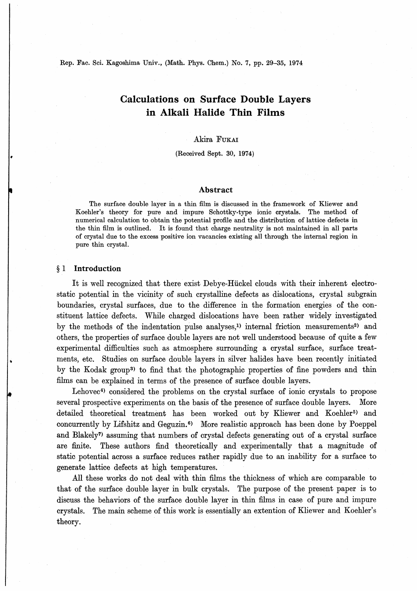Rep. Fac. Sci. Kagoshima Univ., (Math. Phys. Chem.) No. 7, pp. 29-35, 1974

### Calculations on Surface Double Layers in Alkali Halide Thin Films

### Akira Fukai

(Received Sept. 30, 1974)

#### Abstract

The surface double layer in a thin film is discussed in the framework of Kliewer and Koehler's theory for pure and impure Schottky-type ionic crystals. The method of numerical calculation to obtain the potential profile and the distribution of lattice defects in the thin film is outlined. It is found that charge neutrality is not maintained in all parts of crystal due to the excess positive ion vacancies existing all through the internal region in pure thin crystal.

#### § 1 Introduction

It is well recognized that there exist Debye-Hiickel clouds with their inherent electrostatic potential in the vicinity of such crystalline defects as dislocations, crystal subgram boundaries, crystal surfaces, due to the difference in the formation energies of the constituent lattice defects. While charged dislocations have been rather widely investigated by the methods of the indentation pulse analyses,<sup>1</sup> internal friction measurements<sup>2</sup> and others, the properties of surface double layers are not well understood because of quite a few experimental difficulties such as atmosphere surrounding a crystal surface, surface treatmerits, etc. Studies on surface double layers in silver halides have been recently initiated by the Kodak group<sup>3</sup> to find that the photographic properties of fine powders and thin films can be explained in terms of the presence of surface double layers.

Lehovec<sup>4</sup> considered the problems on the crystal surface of ionic crystals to propose several prospective experiments on the basis of the presence of surface double layers. More detailed theoretical treatment has been worked out by Kliewer and Koehler<sup>5)</sup> and concurrently by Lifshitz and Geguzin.<sup>6)</sup> More realistic approach has been done by Poeppel and Blakely7) assuming that numbers of crystal defects generating out of a crystal surface are finite. These authors find theoretically and experimentally that a magnitude of static potential across a surface reduces rather rapidly due to an inability for a surface to generate lattice defects at high temperatures.

All these works do not deal with thin films the thickness of which are comparable to that of the surface double layer in bulk crystals. The purpose of the present paper is to discuss the behaviors of the surface double layer in thin films in case of pure and impure crystals. The main scheme of this work is essentially an extention of Kliewer and Koehler's theory.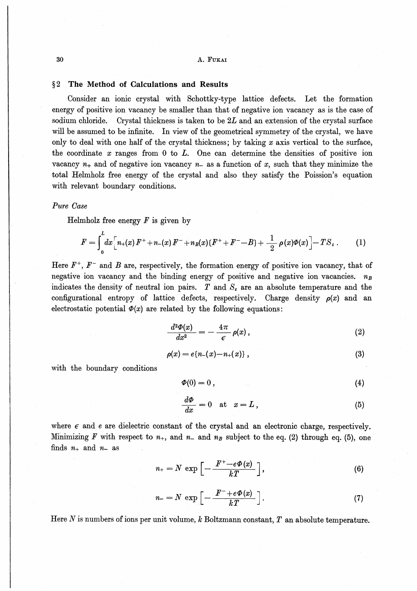### §2 The Method of Calculations and Results

Consider an ionic crystal with Schottky-type lattice defects. Let the formation energy of positive ion vacancy be smaller than that of negative ion vacancy as is the case of sodium chloride. Crystal thickness is taken to be  $2L$  and an extension of the crystal surface will be assumed to be infinite. In view of the geometrical symmetry of the crystal, we have only to deal with one half of the crystal thickness; by taking  $x$  axis vertical to the surface, the coordinate  $x$  ranges from 0 to  $L$ . One can determine the densities of positive ion vacancy  $n_+$  and of negative ion vacancy  $n_-$  as a function of x, such that they minimize the total Helmholz free energy of the crystal and also they satisfy the Poission's equation with relevant boundary conditions.

#### Pure Case

Helmholz free energy  $F$  is given by

$$
F = \int_0^L dx \Big[ n_+(x) F^+ + n_-(x) F^- + n_B(x) \{ F^+ + F^- - B \} + \frac{1}{2} \rho(x) \Phi(x) \Big] - T S_c \ . \tag{1}
$$

Here  $F^+$ ,  $F^-$  and  $B$  are, respectively, the formation energy of positive ion vacancy, that of negative ion vacancy and the binding energy of positive and negative ion vacancies.  $n_B$ indicates the density of neutral ion pairs.  $T$  and  $S<sub>c</sub>$  are an absolute temperature and the configurational entropy of lattice defects, respectively. Charge density  $\rho(x)$  and an electrostatic potential  $\Phi(x)$  are related by the following equations:

$$
\frac{d^2\Phi(x)}{dx^2} = -\frac{4\pi}{\epsilon}\,\rho(x)\,,\tag{2}
$$

$$
\rho(x) = e\{n_-(x) - n_+(x)\}\,,\tag{3}
$$

with the boundary conditions

$$
\Phi(0) = 0 \tag{4}
$$

$$
\frac{d\Phi}{dx} = 0 \quad \text{at} \quad x = L \,, \tag{5}
$$

where  $\epsilon$  and e are dielectric constant of the crystal and an electronic charge, respectively. Minimizing F with respect to  $n_{+}$ , and  $n_{-}$  and  $n_{B}$  subject to the eq. (2) through eq. (5), one finds  $n_+$  and  $n_-$  as

$$
n_{+}=N \exp \left[-\frac{F^{+}-e\Phi(x)}{kT}\right], \qquad (6)
$$

$$
n = N \exp\left[-\frac{F^- + e\Phi(x)}{kT}\right].\tag{7}
$$

Here N is numbers of ions per unit volume,  $k$  Boltzmann constant,  $T$  an absolute temperature.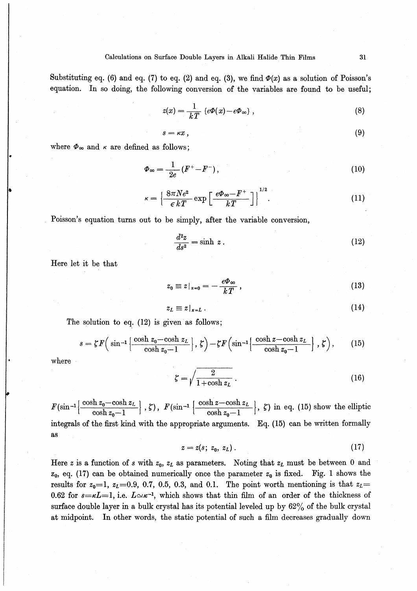Substituting eq. (6) and eq. (7) to eq. (2) and eq. (3), we find  $\Phi(x)$  as a solution of Poisson's equation. In so doing, the following conversion of the variables are found to be useful;

$$
z(x) = \frac{1}{kT} \left\{ e\Phi(x) - e\Phi_{\infty} \right\},\tag{8}
$$

$$
s = \kappa x \,, \tag{9}
$$

where  $\Phi_{\infty}$  and  $\kappa$  are defined as follows;

$$
\Phi_{\infty} = \frac{1}{2e} \left( F^+ - F^- \right),\tag{10}
$$

$$
\kappa = \left\{ \frac{8\pi Ne^2}{\epsilon kT} \exp\left[\frac{e\Phi_\infty - F^+}{kT}\right] \right\}^{1/2}.
$$
 (11)

Poisson's equation turns out to be simply, after the variable conversion,

$$
\frac{d^2z}{ds^2} = \sinh z \,. \tag{12}
$$

Here let it be that

$$
z_0 \equiv z\vert_{x=0} = -\frac{e\Phi_\infty}{kT} \,, \tag{13}
$$

$$
z_L \equiv z|_{z=L} \tag{14}
$$

The solution to eq. (12) is given as follows;

$$
s = \zeta F\Big(\sin^{-1}\Big\{\frac{\cosh z_0 - \cosh z_L}{\cosh z_0 - 1}\Big\},\,\zeta\Big) - \zeta F\Big(\sin^{-1}\Big\{\frac{\cosh z - \cosh z_L}{\cosh z_0 - 1}\Big\},\,\zeta\Big),\qquad(15)
$$

where

$$
\zeta = \sqrt{\frac{2}{1 + \cosh z_L}}.
$$
\n(16)

 $F(\sin^{-1}\left\{\frac{\cosh z_0-\cosh z_l}{1-\cos z_l}\right\}$  $\left\lfloor\frac{\log\left(\cosh z_L\right)}{\cosh z_{\alpha}-1}\right\rfloor,\,\zeta),\,\,F(\sin^{-1}\left\lfloor\frac{\cosh z-\cosh z_L}{\cosh z_{\alpha}-1}\right\rfloor)$  $\cosh z_0 - 1$  |  $\sin z_0$  in eq. (15) show the empire integrals of the first kind with the appropriate arguments. Eq. (15) can be written formally aS

$$
z = z(s; z_0, z_L). \tag{17}
$$

Here z is a function of s with  $z_0$ ,  $z_L$  as parameters. Noting that  $z_L$  must be between 0 and  $z_0$ , eq. (17) can be obtained numerically once the parameter  $z_0$  is fixed. Fig. 1 shows the results for  $z_0=1$ ,  $z_L=0.9$ , 0.7, 0.5, 0.3, and 0.1. The point worth mentioning is that  $z_L=$ 0.62 for  $s=\kappa L=1$ , i.e.  $L\approx \kappa^{-1}$ , which shows that thin film of an order of the thickness of surface double layer in a bulk crystal has its potential leveled up by  $62\%$  of the bulk crystal at midpoint. In other words, the static potential of such a film decreases gradually down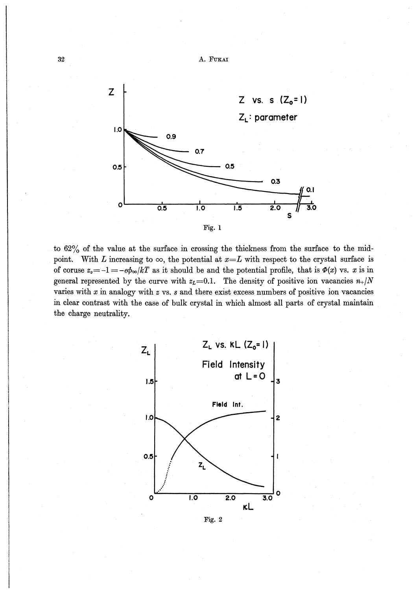

to 62% of the value at the surface in crossing the thickness from the surface to the midpoint. With L increasing to  $\infty$ , the potential at  $x=L$  with respect to the crystal surface is of coruse  $z_0=-1=-e\phi_\infty/kT$  as it should be and the potential profile, that is  $\Phi(x)$  vs. x is in general represented by the curve with  $z_L=0.1$ . The density of positive ion vacancies  $n_+/N$ varies with  $x$  in analogy with  $z$  vs.  $s$  and there exist excess numbers of positive ion vacancies in clear contrast with the case of bulk crystal in which almost all parts of crystal maintain the charge neutrality.



Fig. 2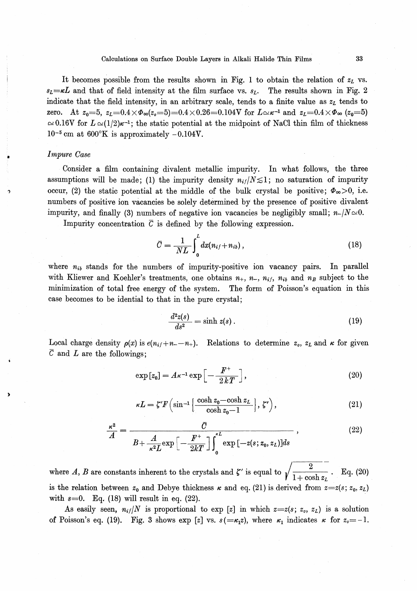#### Calculations on Surface Double Layers in Alkali Halide Thin Films 33

It becomes possible from the results shown in Fig. 1 to obtain the relation of  $z<sub>L</sub>$  vs.  $s_L = \kappa L$  and that of field intensity at the film surface vs.  $s_L$ . The results shown in Fig. 2 indicate that the field intensity, in an arbitrary scale, tends to a finite value as  $z<sub>L</sub>$  tends to zero. At  $z_0=5$ ,  $z_L=0.4\times\Phi_\infty(z_0=5)=0.4\times0.26=0.104$ V for  $L\simeq\kappa^{-1}$  and  $z_L=0.4\times\Phi_\infty$   $(z_0=5)$  $\approx 0.16V$  for  $L \approx (1/2)\kappa^{-1}$ ; the static potential at the midpoint of NaCl thin film of thickness  $10^{-5}$  cm at  $600^{\circ}$ K is approximately  $-0.104$ V.

#### Impure Case

Consider a film containing divalent metallic impurity. In what follows, the three assumptions will be made; (1) the impurity density  $n_{if}/N \leq 1$ ; no saturation of impurity occur, (2) the static potential at the middle of the bulk crystal be positive;  $\Phi_{\infty} > 0$ , i.e. numbers of positive ion vacancies be solely determined by the presence of positive divalent impurity, and finally (3) numbers of negative ion vacancies be negligibly small;  $n-|N|\approx 0$ .

Impurity concentration  $\bar{c}$  is defined by the following expression.

$$
\bar{C} = \frac{1}{NL} \int_0^L dx (n_{if} + n_{ib}), \qquad (18)
$$

where  $n_{ik}$  stands for the numbers of impurity-positive ion vacancy pairs. In parallel with Kliewer and Koehler's treatments, one obtains  $n_{+}$ ,  $n_{-}$ ,  $n_{if}$ ,  $n_{ib}$  and  $n_{B}$  subject to the minimization of total free energy of the system. The form of Poisson's equation in this case becomes to be idential to that in the pure crystal;

$$
\frac{d^2z(s)}{ds^2} = \sinh z(s) \,. \tag{19}
$$

Local charge density  $\rho(x)$  is  $e(n_{i+1}-n_{+})$ . Relations to determine  $z_o$ ,  $z_L$  and  $\kappa$  for given  $\overline{C}$  and  $L$  are the followings;

$$
\exp\left[z_0\right] = A\kappa^{-1} \exp\left[-\frac{F^+}{2kT}\right],\tag{20}
$$

$$
\kappa L = \zeta' F \left( \sin^{-1} \left\{ \frac{\cosh z_0 - \cosh z_L}{\cosh z_0 - 1} \right\}, \zeta' \right),\tag{21}
$$

$$
\frac{\kappa^2}{A} = \frac{\overline{C}}{B + \frac{A}{\kappa^2 L} \exp\left[-\frac{F^+}{2kT}\right] \int_0^{\kappa L} \exp\left[-z(s; z_0, z_L)\right] ds},\tag{22}
$$

where A, B are constants inherent to the crystals and  $\zeta'$  is equal to  $\sqrt{\frac{1}{1+\frac{1}{1+\frac{1}{1+\cdots}}}}$ . Eq. (20) is the relation between  $z_0$  and Debye thickness  $\kappa$  and eq. (21) is derived from  $z=z(s; z_0, z_L)$ with  $s=0$ . Eq. (18) will result in eq. (22).

As easily seen,  $n_{if}/N$  is proportional to exp [z] in which  $z=z(s; z_o, z_L)$  is a solution of Poisson's eq. (19). Fig. 3 shows exp [z] vs.  $s(=\kappa_1 z)$ , where  $\kappa_1$  indicates  $\kappa$  for  $z_0 = -1$ .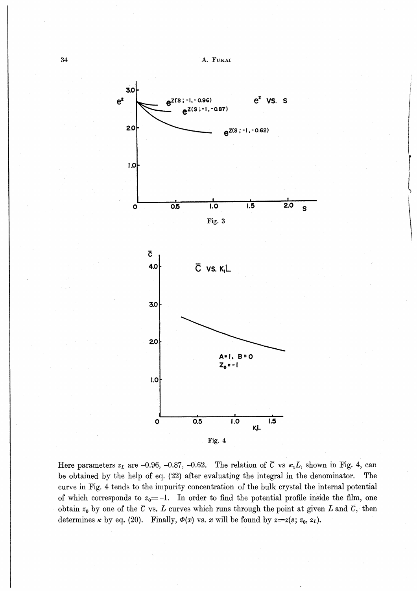

- Form of the INQUESTION of the INQUESTION of the INQUESTION of the INQUESTION of the INQUESTION of the INQUESTION of the INQUESTION of the INQUESTION of the INQUESTION of the INQUESTION of the INQUESTION of the INQUESTION

Here parameters  $z_L$  are -0.96, -0.87, -0.62. The relation of  $\overline{C}$  vs  $\kappa_1L$ , shown in Fig. 4, can be obtained by the help of eq. (22) after evaluating the integral in the denominator. The curve in Fig. 4 tends to the impurity concentration of the bulk crystal the internal potential of which corresponds to  $z_0=-1$ . In order to find the potential profile inside the film, one obtain  $z_0$  by one of the  $\overline{C}$  vs. L curves which runs through the point at given L and  $\overline{C}$ , then determines  $\kappa$  by eq. (20). Finally,  $\Phi(x)$  vs. x will be found by  $z=z(s; z_0, z_L)$ .